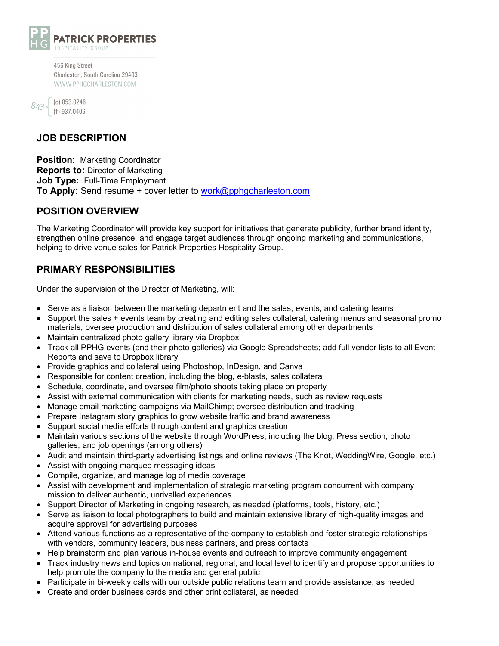

456 King Street Charleston, South Carolina 29403 WWW.PPHGCHARLESTON.COM

| 343 | (o) 853.0246   |
|-----|----------------|
|     | $(f)$ 937.0406 |

# **JOB DESCRIPTION**

**Position:** Marketing Coordinator **Reports to:** Director of Marketing **Job Type:** Full-Time Employment **To Apply:** Send resume + cover letter to work@pphgcharleston.com

#### **POSITION OVERVIEW**

The Marketing Coordinator will provide key support for initiatives that generate publicity, further brand identity, strengthen online presence, and engage target audiences through ongoing marketing and communications, helping to drive venue sales for Patrick Properties Hospitality Group.

### **PRIMARY RESPONSIBILITIES**

Under the supervision of the Director of Marketing, will:

- Serve as a liaison between the marketing department and the sales, events, and catering teams
- Support the sales + events team by creating and editing sales collateral, catering menus and seasonal promo materials; oversee production and distribution of sales collateral among other departments
- Maintain centralized photo gallery library via Dropbox
- Track all PPHG events (and their photo galleries) via Google Spreadsheets; add full vendor lists to all Event Reports and save to Dropbox library
- Provide graphics and collateral using Photoshop, InDesign, and Canva
- Responsible for content creation, including the blog, e-blasts, sales collateral
- Schedule, coordinate, and oversee film/photo shoots taking place on property
- Assist with external communication with clients for marketing needs, such as review requests
- Manage email marketing campaigns via MailChimp; oversee distribution and tracking
- Prepare Instagram story graphics to grow website traffic and brand awareness
- Support social media efforts through content and graphics creation
- Maintain various sections of the website through WordPress, including the blog, Press section, photo galleries, and job openings (among others)
- Audit and maintain third-party advertising listings and online reviews (The Knot, WeddingWire, Google, etc.)
- Assist with ongoing marquee messaging ideas
- Compile, organize, and manage log of media coverage
- Assist with development and implementation of strategic marketing program concurrent with company mission to deliver authentic, unrivalled experiences
- Support Director of Marketing in ongoing research, as needed (platforms, tools, history, etc.)
- Serve as liaison to local photographers to build and maintain extensive library of high-quality images and acquire approval for advertising purposes
- Attend various functions as a representative of the company to establish and foster strategic relationships with vendors, community leaders, business partners, and press contacts
- Help brainstorm and plan various in-house events and outreach to improve community engagement
- Track industry news and topics on national, regional, and local level to identify and propose opportunities to help promote the company to the media and general public
- Participate in bi-weekly calls with our outside public relations team and provide assistance, as needed
- Create and order business cards and other print collateral, as needed